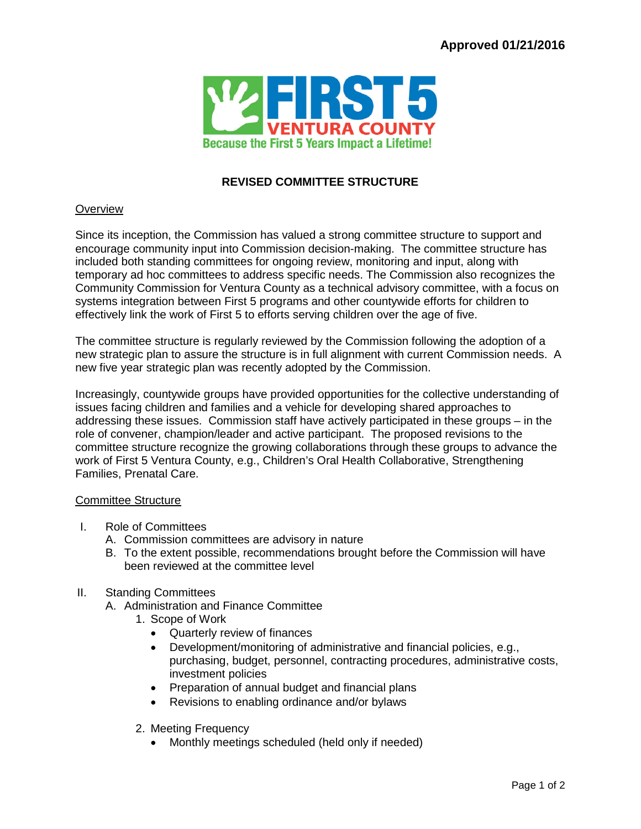

## **REVISED COMMITTEE STRUCTURE**

## **Overview**

Since its inception, the Commission has valued a strong committee structure to support and encourage community input into Commission decision-making. The committee structure has included both standing committees for ongoing review, monitoring and input, along with temporary ad hoc committees to address specific needs. The Commission also recognizes the Community Commission for Ventura County as a technical advisory committee, with a focus on systems integration between First 5 programs and other countywide efforts for children to effectively link the work of First 5 to efforts serving children over the age of five.

The committee structure is regularly reviewed by the Commission following the adoption of a new strategic plan to assure the structure is in full alignment with current Commission needs. A new five year strategic plan was recently adopted by the Commission.

Increasingly, countywide groups have provided opportunities for the collective understanding of issues facing children and families and a vehicle for developing shared approaches to addressing these issues. Commission staff have actively participated in these groups – in the role of convener, champion/leader and active participant. The proposed revisions to the committee structure recognize the growing collaborations through these groups to advance the work of First 5 Ventura County, e.g., Children's Oral Health Collaborative, Strengthening Families, Prenatal Care.

## Committee Structure

- I. Role of Committees
	- A. Commission committees are advisory in nature
	- B. To the extent possible, recommendations brought before the Commission will have been reviewed at the committee level
- II. Standing Committees
	- A. Administration and Finance Committee
		- 1. Scope of Work
			- Quarterly review of finances
			- Development/monitoring of administrative and financial policies, e.g., purchasing, budget, personnel, contracting procedures, administrative costs, investment policies
			- Preparation of annual budget and financial plans
			- Revisions to enabling ordinance and/or bylaws
		- 2. Meeting Frequency
			- Monthly meetings scheduled (held only if needed)